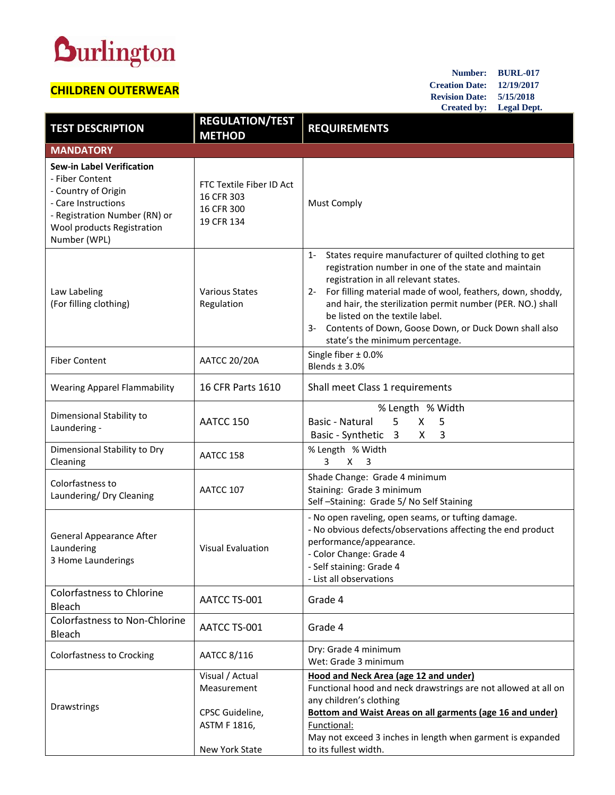## **Durlington**

## **CHILDREN OUTERWEAR**

**Number: BURL-017 Creation Date: 12/19/2017 Revision Date: 5/15/2018 Created by: Legal Dept.**

| <b>TEST DESCRIPTION</b>                                                                                                                                                          | <b>REGULATION/TEST</b><br><b>METHOD</b>                            | <b>REQUIREMENTS</b>                                                                                                                                                                                                                                                                                                                                                                                                                       |
|----------------------------------------------------------------------------------------------------------------------------------------------------------------------------------|--------------------------------------------------------------------|-------------------------------------------------------------------------------------------------------------------------------------------------------------------------------------------------------------------------------------------------------------------------------------------------------------------------------------------------------------------------------------------------------------------------------------------|
| <b>MANDATORY</b>                                                                                                                                                                 |                                                                    |                                                                                                                                                                                                                                                                                                                                                                                                                                           |
| <b>Sew-in Label Verification</b><br>- Fiber Content<br>- Country of Origin<br>- Care Instructions<br>- Registration Number (RN) or<br>Wool products Registration<br>Number (WPL) | FTC Textile Fiber ID Act<br>16 CFR 303<br>16 CFR 300<br>19 CFR 134 | <b>Must Comply</b>                                                                                                                                                                                                                                                                                                                                                                                                                        |
| Law Labeling<br>(For filling clothing)                                                                                                                                           | <b>Various States</b><br>Regulation                                | States require manufacturer of quilted clothing to get<br>$1 -$<br>registration number in one of the state and maintain<br>registration in all relevant states.<br>For filling material made of wool, feathers, down, shoddy,<br>$2 -$<br>and hair, the sterilization permit number (PER. NO.) shall<br>be listed on the textile label.<br>Contents of Down, Goose Down, or Duck Down shall also<br>3-<br>state's the minimum percentage. |
| <b>Fiber Content</b>                                                                                                                                                             | <b>AATCC 20/20A</b>                                                | Single fiber ± 0.0%<br>Blends $\pm$ 3.0%                                                                                                                                                                                                                                                                                                                                                                                                  |
| <b>Wearing Apparel Flammability</b>                                                                                                                                              | 16 CFR Parts 1610                                                  | Shall meet Class 1 requirements                                                                                                                                                                                                                                                                                                                                                                                                           |
| Dimensional Stability to<br>Laundering -                                                                                                                                         | AATCC 150                                                          | % Length % Width<br>5<br>Basic - Natural<br>X<br>5<br>Basic - Synthetic 3<br>X<br>3                                                                                                                                                                                                                                                                                                                                                       |
| Dimensional Stability to Dry<br>Cleaning                                                                                                                                         | AATCC 158                                                          | % Length % Width<br>3<br>$X \quad 3$                                                                                                                                                                                                                                                                                                                                                                                                      |
| Colorfastness to<br>Laundering/ Dry Cleaning                                                                                                                                     | AATCC 107                                                          | Shade Change: Grade 4 minimum<br>Staining: Grade 3 minimum<br>Self-Staining: Grade 5/No Self Staining                                                                                                                                                                                                                                                                                                                                     |
| <b>General Appearance After</b><br>Laundering<br>3 Home Launderings                                                                                                              | <b>Visual Evaluation</b>                                           | - No open raveling, open seams, or tufting damage.<br>- No obvious defects/observations affecting the end product<br>performance/appearance.<br>- Color Change: Grade 4<br>- Self staining: Grade 4<br>- List all observations                                                                                                                                                                                                            |
| <b>Colorfastness to Chlorine</b><br>Bleach                                                                                                                                       | AATCC TS-001                                                       | Grade 4                                                                                                                                                                                                                                                                                                                                                                                                                                   |
| <b>Colorfastness to Non-Chlorine</b><br>Bleach                                                                                                                                   | AATCC TS-001                                                       | Grade 4                                                                                                                                                                                                                                                                                                                                                                                                                                   |
| <b>Colorfastness to Crocking</b>                                                                                                                                                 | AATCC 8/116                                                        | Dry: Grade 4 minimum<br>Wet: Grade 3 minimum                                                                                                                                                                                                                                                                                                                                                                                              |
| Drawstrings                                                                                                                                                                      | Visual / Actual<br>Measurement<br>CPSC Guideline,<br>ASTM F 1816,  | <b>Hood and Neck Area (age 12 and under)</b><br>Functional hood and neck drawstrings are not allowed at all on<br>any children's clothing<br><b>Bottom and Waist Areas on all garments (age 16 and under)</b><br>Functional:<br>May not exceed 3 inches in length when garment is expanded                                                                                                                                                |
|                                                                                                                                                                                  | New York State                                                     | to its fullest width.                                                                                                                                                                                                                                                                                                                                                                                                                     |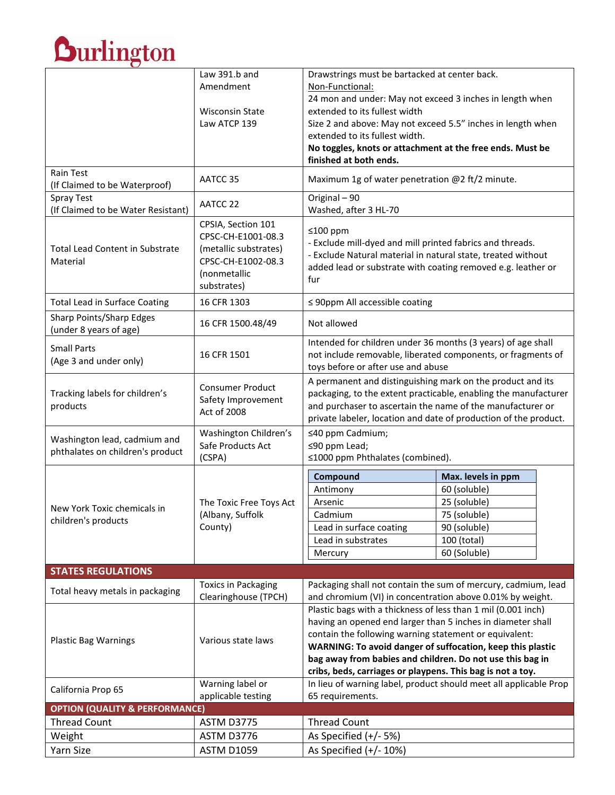|                                                                  | Law 391.b and                                                     | Drawstrings must be bartacked at center back.<br>Non-Functional:                                                                                           |                                                                                                                            |  |
|------------------------------------------------------------------|-------------------------------------------------------------------|------------------------------------------------------------------------------------------------------------------------------------------------------------|----------------------------------------------------------------------------------------------------------------------------|--|
|                                                                  | Amendment                                                         |                                                                                                                                                            |                                                                                                                            |  |
|                                                                  |                                                                   | 24 mon and under: May not exceed 3 inches in length when                                                                                                   |                                                                                                                            |  |
|                                                                  | <b>Wisconsin State</b>                                            | extended to its fullest width                                                                                                                              |                                                                                                                            |  |
|                                                                  | Law ATCP 139                                                      | Size 2 and above: May not exceed 5.5" inches in length when<br>extended to its fullest width.<br>No toggles, knots or attachment at the free ends. Must be |                                                                                                                            |  |
|                                                                  |                                                                   |                                                                                                                                                            |                                                                                                                            |  |
|                                                                  |                                                                   | finished at both ends.                                                                                                                                     |                                                                                                                            |  |
| <b>Rain Test</b><br>(If Claimed to be Waterproof)                | AATCC 35                                                          | Maximum 1g of water penetration @2 ft/2 minute.                                                                                                            |                                                                                                                            |  |
| Spray Test<br>(If Claimed to be Water Resistant)                 | AATCC 22                                                          | Original - 90<br>Washed, after 3 HL-70                                                                                                                     |                                                                                                                            |  |
| <b>Total Lead Content in Substrate</b><br>Material               | CPSIA, Section 101<br>CPSC-CH-E1001-08.3<br>(metallic substrates) | ≤100 ppm<br>- Exclude mill-dyed and mill printed fabrics and threads.<br>- Exclude Natural material in natural state, treated without                      |                                                                                                                            |  |
|                                                                  | CPSC-CH-E1002-08.3<br>(nonmetallic<br>substrates)                 | added lead or substrate with coating removed e.g. leather or<br>fur                                                                                        |                                                                                                                            |  |
| <b>Total Lead in Surface Coating</b>                             | 16 CFR 1303                                                       | $\leq$ 90ppm All accessible coating                                                                                                                        |                                                                                                                            |  |
| Sharp Points/Sharp Edges<br>(under 8 years of age)               | 16 CFR 1500.48/49                                                 | Not allowed                                                                                                                                                |                                                                                                                            |  |
| <b>Small Parts</b><br>(Age 3 and under only)                     | 16 CFR 1501                                                       | Intended for children under 36 months (3 years) of age shall<br>not include removable, liberated components, or fragments of                               |                                                                                                                            |  |
|                                                                  |                                                                   | toys before or after use and abuse                                                                                                                         |                                                                                                                            |  |
| Tracking labels for children's<br>products                       | <b>Consumer Product</b><br>Safety Improvement<br>Act of 2008      | A permanent and distinguishing mark on the product and its<br>packaging, to the extent practicable, enabling the manufacturer                              |                                                                                                                            |  |
|                                                                  |                                                                   | and purchaser to ascertain the name of the manufacturer or                                                                                                 |                                                                                                                            |  |
|                                                                  |                                                                   | private labeler, location and date of production of the product.                                                                                           |                                                                                                                            |  |
| Washington lead, cadmium and                                     | Washington Children's<br>Safe Products Act<br>(CSPA)              | ≤40 ppm Cadmium;                                                                                                                                           |                                                                                                                            |  |
| phthalates on children's product                                 |                                                                   | ≤90 ppm Lead;                                                                                                                                              |                                                                                                                            |  |
|                                                                  |                                                                   | ≤1000 ppm Phthalates (combined).                                                                                                                           |                                                                                                                            |  |
|                                                                  |                                                                   | Compound                                                                                                                                                   | Max. levels in ppm                                                                                                         |  |
|                                                                  |                                                                   | Antimony                                                                                                                                                   | 60 (soluble)                                                                                                               |  |
| New York Toxic chemicals in                                      | The Toxic Free Toys Act                                           | Arsenic                                                                                                                                                    | 25 (soluble)                                                                                                               |  |
| children's products                                              | (Albany, Suffolk<br>County)                                       | Cadmium                                                                                                                                                    | 75 (soluble)                                                                                                               |  |
|                                                                  |                                                                   | Lead in surface coating                                                                                                                                    | 90 (soluble)                                                                                                               |  |
|                                                                  |                                                                   | Lead in substrates                                                                                                                                         | 100 (total)                                                                                                                |  |
|                                                                  |                                                                   | Mercury                                                                                                                                                    | 60 (Soluble)                                                                                                               |  |
| <b>STATES REGULATIONS</b>                                        |                                                                   |                                                                                                                                                            |                                                                                                                            |  |
| Total heavy metals in packaging                                  | Toxics in Packaging                                               |                                                                                                                                                            | Packaging shall not contain the sum of mercury, cadmium, lead                                                              |  |
|                                                                  | Clearinghouse (TPCH)                                              |                                                                                                                                                            | and chromium (VI) in concentration above 0.01% by weight.<br>Plastic bags with a thickness of less than 1 mil (0.001 inch) |  |
|                                                                  |                                                                   | having an opened end larger than 5 inches in diameter shall                                                                                                |                                                                                                                            |  |
|                                                                  | Various state laws                                                | contain the following warning statement or equivalent:                                                                                                     |                                                                                                                            |  |
| <b>Plastic Bag Warnings</b>                                      |                                                                   | WARNING: To avoid danger of suffocation, keep this plastic                                                                                                 |                                                                                                                            |  |
|                                                                  |                                                                   | bag away from babies and children. Do not use this bag in                                                                                                  |                                                                                                                            |  |
|                                                                  |                                                                   | cribs, beds, carriages or playpens. This bag is not a toy.                                                                                                 |                                                                                                                            |  |
| California Prop 65                                               | Warning label or                                                  |                                                                                                                                                            | In lieu of warning label, product should meet all applicable Prop                                                          |  |
|                                                                  | applicable testing                                                | 65 requirements.                                                                                                                                           |                                                                                                                            |  |
| <b>OPTION (QUALITY &amp; PERFORMANCE)</b><br><b>Thread Count</b> | ASTM D3775                                                        | <b>Thread Count</b>                                                                                                                                        |                                                                                                                            |  |
| Weight                                                           | ASTM D3776                                                        | As Specified $(+/- 5%)$                                                                                                                                    |                                                                                                                            |  |
| Yarn Size                                                        | <b>ASTM D1059</b>                                                 | As Specified $(+/- 10%)$                                                                                                                                   |                                                                                                                            |  |
|                                                                  |                                                                   |                                                                                                                                                            |                                                                                                                            |  |